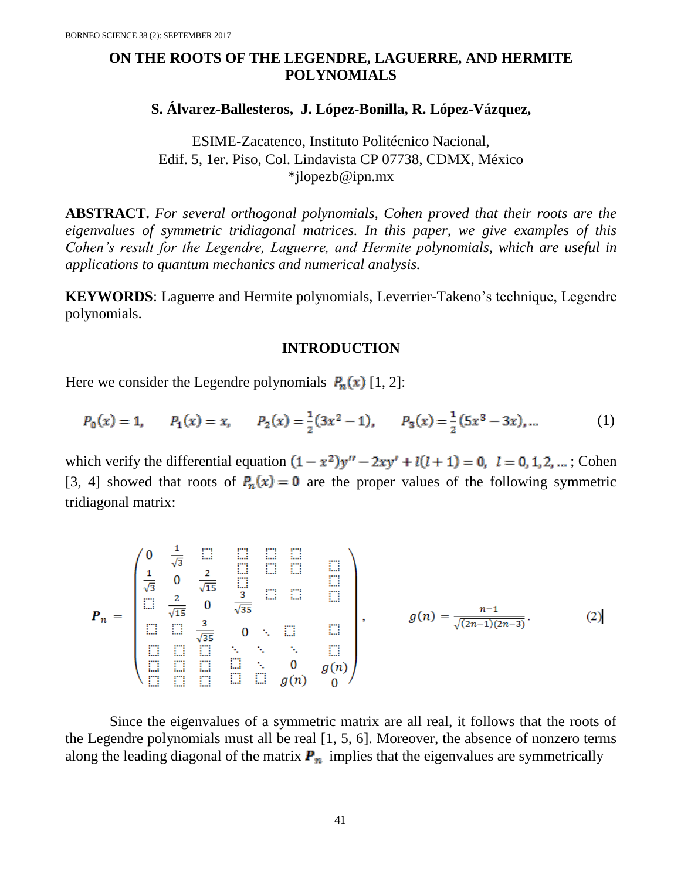## **ON THE ROOTS OF THE LEGENDRE, LAGUERRE, AND HERMITE POLYNOMIALS**

# **S. Álvarez-Ballesteros, J. López-Bonilla, R. López-Vázquez,**

ESIME-Zacatenco, Instituto Politécnico Nacional, Edif. 5, 1er. Piso, Col. Lindavista CP 07738, CDMX, México [\\*jlopezb@ipn.mx](mailto:*jlopezb@ipn.mx)

**ABSTRACT.** *For several orthogonal polynomials, Cohen proved that their roots are the eigenvalues of symmetric tridiagonal matrices. In this paper, we give examples of this Cohen's result for the Legendre, Laguerre, and Hermite polynomials, which are useful in applications to quantum mechanics and numerical analysis.*

**KEYWORDS**: Laguerre and Hermite polynomials, Leverrier-Takeno's technique, Legendre polynomials.

### **INTRODUCTION**

Here we consider the Legendre polynomials  $P_n(x)$  [1, 2]:

$$
P_0(x) = 1, \qquad P_1(x) = x, \qquad P_2(x) = \frac{1}{2}(3x^2 - 1), \qquad P_3(x) = \frac{1}{2}(5x^3 - 3x), \dots \tag{1}
$$

which verify the differential equation  $(1 - x^2)y'' - 2xy' + l(l + 1) = 0$ ,  $l = 0, 1, 2, ...$ ; Cohen [3, 4] showed that roots of  $P_n(x) = 0$  are the proper values of the following symmetric tridiagonal matrix:

$$
P_n = \begin{pmatrix} 0 & \frac{1}{\sqrt{3}} & \cdots & \cdots & \cdots & \cdots & \cdots \\ \frac{1}{\sqrt{3}} & 0 & \frac{2}{\sqrt{15}} & \cdots & \cdots & \cdots & \cdots \\ \vdots & \vdots & \ddots & \ddots & \vdots & \vdots & \vdots & \vdots \\ \vdots & \vdots & \ddots & \ddots & \vdots & \vdots & \vdots \\ \vdots & \vdots & \ddots & \ddots & \vdots & \vdots \\ \vdots & \vdots & \vdots & \ddots & \ddots & \vdots \\ \vdots & \vdots & \vdots & \ddots & \ddots & \vdots \\ \vdots & \vdots & \vdots & \ddots & \ddots & \vdots \\ \vdots & \vdots & \vdots & \ddots & \vdots & \vdots \\ \vdots & \vdots & \vdots & \ddots & \vdots & \vdots \\ \vdots & \vdots & \vdots & \ddots & \vdots & \vdots \\ \vdots & \vdots & \vdots & \ddots & \vdots & \vdots \\ \vdots & \vdots & \vdots & \vdots & \vdots & \vdots \\ \vdots & \vdots & \vdots & \vdots & \vdots & \vdots \\ \vdots & \vdots & \vdots & \vdots & \vdots & \vdots \\ \vdots & \vdots & \vdots & \vdots & \vdots & \vdots \\ \vdots & \vdots & \vdots & \vdots & \vdots & \vdots \\ \vdots & \vdots & \vdots & \vdots & \vdots & \vdots \\ \vdots & \vdots & \vdots & \vdots & \vdots & \vdots \\ \vdots & \vdots & \vdots & \vdots & \vdots & \vdots \\ \vdots & \vdots & \vdots & \vdots & \vdots & \vdots \\ \vdots & \vdots & \vdots & \vdots & \vdots & \vdots \\ \vdots & \vdots & \vdots & \vdots & \vdots & \vdots \\ \vdots & \vdots & \vdots & \vdots & \vdots & \vdots \\ \vdots & \vdots & \vdots & \vdots & \vdots & \vdots \\ \vdots & \vdots & \vdots & \vdots & \vdots & \vdots \\ \vdots & \vdots & \vdots & \vdots & \vdots & \vdots \\ \vdots & \vdots & \vdots & \vdots & \vdots \\ \vdots & \vdots & \vdots & \vdots & \vdots \\ \vdots & \vdots & \vdots & \vdots & \vdots \\ \vd
$$

Since the eigenvalues of a symmetric matrix are all real, it follows that the roots of the Legendre polynomials must all be real [1, 5, 6]. Moreover, the absence of nonzero terms along the leading diagonal of the matrix  $P_n$  implies that the eigenvalues are symmetrically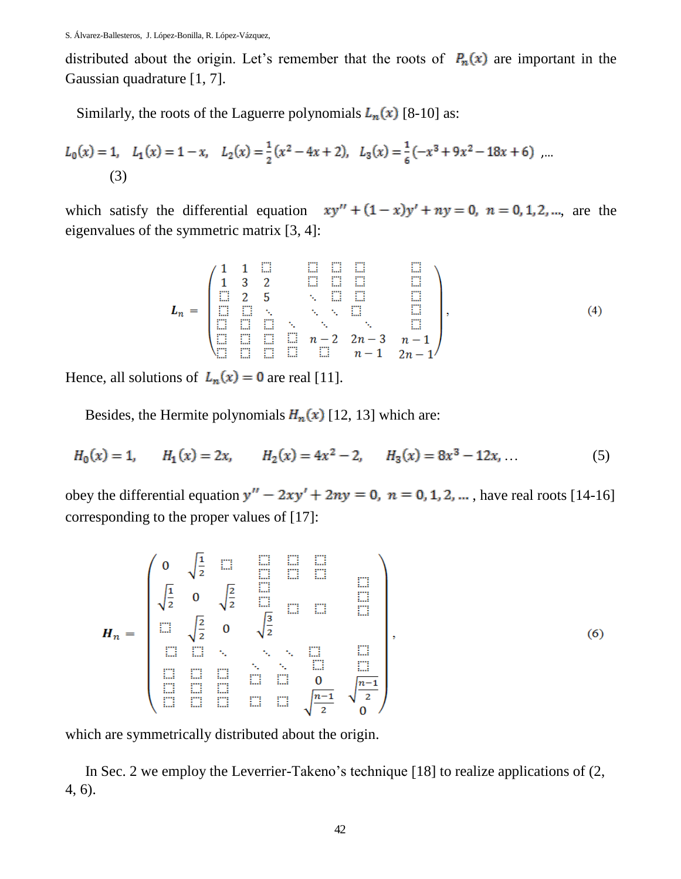distributed about the origin. Let's remember that the roots of  $P_n(x)$  are important in the Gaussian quadrature [1, 7].

Similarly, the roots of the Laguerre polynomials  $L_n(x)$  [8-10] as:

$$
L_0(x) = 1, \quad L_1(x) = 1 - x, \quad L_2(x) = \frac{1}{2}(x^2 - 4x + 2), \quad L_3(x) = \frac{1}{6}(-x^3 + 9x^2 - 18x + 6) \quad \dots
$$
\n(3)

which satisfy the differential equation  $xy'' + (1-x)y' + ny = 0$ ,  $n = 0, 1, 2, ...$ , are the eigenvalues of the symmetric matrix [3, 4]:

$$
L_n = \begin{pmatrix} 1 & 1 & \square & & \square & \square & \square & & \square \\ 1 & 3 & 2 & & \square & \square & & \square & \square \\ \square & 2 & 5 & & & \square & \square & & \square \\ \square & \square & \cdot & \cdot & \cdot & \cdot & \square & \square \\ \square & \square & \square & \cdot & \cdot & \cdot & \cdot & \square \\ \square & \square & \square & \square & n-2 & 2n-3 & n-1 \\ \square & \square & \square & \square & \square & n-1 & 2n-1 \end{pmatrix}, \qquad (4)
$$

Hence, all solutions of  $L_n(x) = 0$  are real [11].

Besides, the Hermite polynomials  $H_n(x)$  [12, 13] which are:

$$
H_0(x) = 1, \qquad H_1(x) = 2x, \qquad H_2(x) = 4x^2 - 2, \qquad H_3(x) = 8x^3 - 12x,\tag{5}
$$

obey the differential equation  $y'' - 2xy' + 2ny = 0$ ,  $n = 0, 1, 2, ...$ , have real roots [14-16] corresponding to the proper values of [17]:

$$
H_{n} = \begin{pmatrix} 0 & \sqrt{\frac{1}{2}} & \Box & \Box & \Box & \Box \\ \sqrt{\frac{1}{2}} & 0 & \sqrt{\frac{2}{2}} & \Box & \Box & \Box \\ \Box & \sqrt{\frac{2}{2}} & 0 & \sqrt{\frac{3}{2}} & \Box & \Box & \Box \\ \Box & \Box & \ddots & \ddots & \ddots & \Box & \Box \\ \Box & \Box & \Box & \Box & \Box & \Box & \Box \end{pmatrix}, \qquad (6)
$$

which are symmetrically distributed about the origin.

In Sec. 2 we employ the Leverrier-Takeno's technique [18] to realize applications of (2, 4, 6).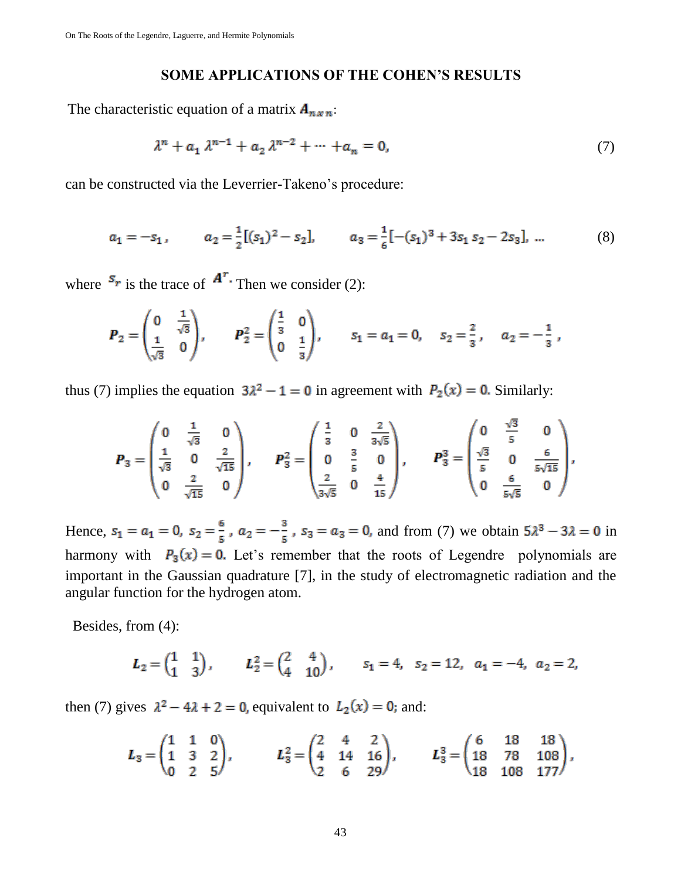### **SOME APPLICATIONS OF THE COHEN'S RESULTS**

The characteristic equation of a matrix  $A_{n \times n}$ :

$$
\lambda^{n} + a_{1} \lambda^{n-1} + a_{2} \lambda^{n-2} + \cdots + a_{n} = 0, \qquad (7)
$$

can be constructed via the Leverrier-Takeno's procedure:

$$
a_1 = -s_1, \qquad a_2 = \frac{1}{2}[(s_1)^2 - s_2], \qquad a_3 = \frac{1}{6}[-(s_1)^3 + 3s_1 s_2 - 2s_3], \dots \tag{8}
$$

where  $s_r$  is the trace of  $A^r$ . Then we consider (2):

$$
\boldsymbol{P}_2 = \begin{pmatrix} 0 & \frac{1}{\sqrt{3}} \\ \frac{1}{\sqrt{3}} & 0 \end{pmatrix}, \qquad \boldsymbol{P}_2^2 = \begin{pmatrix} \frac{1}{3} & 0 \\ 0 & \frac{1}{3} \end{pmatrix}, \qquad \boldsymbol{s}_1 = \boldsymbol{a}_1 = 0, \quad \boldsymbol{s}_2 = \frac{2}{3}, \quad \boldsymbol{a}_2 = -\frac{1}{3},
$$

thus (7) implies the equation  $3\lambda^2 - 1 = 0$  in agreement with  $P_2(x) = 0$ . Similarly:

$$
\boldsymbol{P}_3 = \begin{pmatrix} 0 & \frac{1}{\sqrt{3}} & 0 \\ \frac{1}{\sqrt{3}} & 0 & \frac{2}{\sqrt{15}} \\ 0 & \frac{2}{\sqrt{15}} & 0 \end{pmatrix}, \qquad \boldsymbol{P}_3^2 = \begin{pmatrix} \frac{1}{3} & 0 & \frac{2}{3\sqrt{5}} \\ 0 & \frac{3}{5} & 0 \\ \frac{2}{3\sqrt{5}} & 0 & \frac{4}{15} \end{pmatrix}, \qquad \boldsymbol{P}_3^3 = \begin{pmatrix} 0 & \frac{\sqrt{3}}{5} & 0 \\ \frac{\sqrt{3}}{5} & 0 & \frac{6}{5\sqrt{15}} \\ 0 & \frac{6}{5\sqrt{5}} & 0 \end{pmatrix},
$$

Hence,  $s_1 = a_1 = 0$ ,  $s_2 = \frac{6}{5}$ ,  $a_2 = -\frac{3}{5}$ ,  $s_3 = a_3 = 0$ , and from (7) we obtain  $5\lambda^3 - 3\lambda = 0$  in harmony with  $P_3(x) = 0$ . Let's remember that the roots of Legendre polynomials are important in the Gaussian quadrature [7], in the study of electromagnetic radiation and the angular function for the hydrogen atom.

Besides, from (4):

$$
L_2 = \begin{pmatrix} 1 & 1 \\ 1 & 3 \end{pmatrix}, \qquad L_2^2 = \begin{pmatrix} 2 & 4 \\ 4 & 10 \end{pmatrix}, \qquad s_1 = 4, \quad s_2 = 12, \quad a_1 = -4, \quad a_2 = 2,
$$

then (7) gives  $\lambda^2 - 4\lambda + 2 = 0$ , equivalent to  $L_2(x) = 0$ ; and:

$$
L_3 = \begin{pmatrix} 1 & 1 & 0 \\ 1 & 3 & 2 \\ 0 & 2 & 5 \end{pmatrix}, \qquad L_3^2 = \begin{pmatrix} 2 & 4 & 2 \\ 4 & 14 & 16 \\ 2 & 6 & 29 \end{pmatrix}, \qquad L_3^3 = \begin{pmatrix} 6 & 18 & 18 \\ 18 & 78 & 108 \\ 18 & 108 & 177 \end{pmatrix},
$$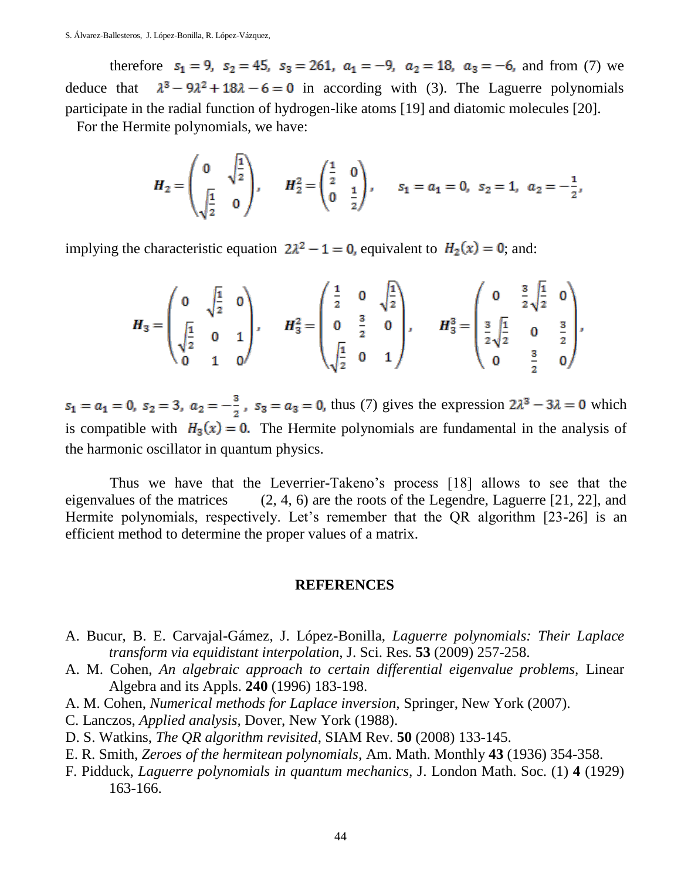therefore  $s_1 = 9$ ,  $s_2 = 45$ ,  $s_3 = 261$ ,  $a_1 = -9$ ,  $a_2 = 18$ ,  $a_3 = -6$ , and from (7) we deduce that  $\lambda^3 - 9\lambda^2 + 18\lambda - 6 = 0$  in according with (3). The Laguerre polynomials participate in the radial function of hydrogen-like atoms [19] and diatomic molecules [20].

For the Hermite polynomials, we have:

$$
H_2 = \begin{pmatrix} 0 & \sqrt{\frac{1}{2}} \\ \sqrt{\frac{1}{2}} & 0 \end{pmatrix}, \qquad H_2^2 = \begin{pmatrix} \frac{1}{2} & 0 \\ 0 & \frac{1}{2} \end{pmatrix}, \qquad s_1 = a_1 = 0, \ \ s_2 = 1, \ \ a_2 = -\frac{1}{2},
$$

implying the characteristic equation  $2\lambda^2 - 1 = 0$ , equivalent to  $H_2(x) = 0$ ; and:

$$
H_3 = \begin{pmatrix} 0 & \sqrt{\frac{1}{2}} & 0 \\ \sqrt{\frac{1}{2}} & 0 & 1 \\ 0 & 1 & 0 \end{pmatrix}, \qquad H_3^2 = \begin{pmatrix} \frac{1}{2} & 0 & \sqrt{\frac{1}{2}} \\ 0 & \frac{3}{2} & 0 \\ \sqrt{\frac{1}{2}} & 0 & 1 \end{pmatrix}, \qquad H_3^3 = \begin{pmatrix} 0 & \frac{3}{2} \sqrt{\frac{1}{2}} & 0 \\ \frac{3}{2} \sqrt{\frac{1}{2}} & 0 & \frac{3}{2} \\ 0 & \frac{3}{2} & 0 \end{pmatrix},
$$

 $s_1 = a_1 = 0$ ,  $s_2 = 3$ ,  $a_2 = -\frac{3}{2}$ ,  $s_3 = a_3 = 0$ , thus (7) gives the expression  $2\lambda^3 - 3\lambda = 0$  which is compatible with  $H_3(x) = 0$ . The Hermite polynomials are fundamental in the analysis of the harmonic oscillator in quantum physics.

Thus we have that the Leverrier-Takeno's process [18] allows to see that the eigenvalues of the matrices  $(2, 4, 6)$  are the roots of the Legendre, Laguerre [21, 22], and Hermite polynomials, respectively. Let's remember that the QR algorithm [23-26] is an efficient method to determine the proper values of a matrix.

#### **REFERENCES**

- A. Bucur, B. E. Carvajal-Gámez, J. López-Bonilla, *Laguerre polynomials: Their Laplace transform via equidistant interpolation,* J. Sci. Res. **53** (2009) 257-258.
- A. M. Cohen, *An algebraic approach to certain differential eigenvalue problems,* Linear Algebra and its Appls. **240** (1996) 183-198.
- A. M. Cohen, *Numerical methods for Laplace inversion,* Springer, New York (2007).
- C. Lanczos, *Applied analysis,* Dover, New York (1988).
- D. S. Watkins, *The QR algorithm revisited,* SIAM Rev. **50** (2008) 133-145.
- E. R. Smith, *Zeroes of the hermitean polynomials,* Am. Math. Monthly **43** (1936) 354-358.
- F. Pidduck, *Laguerre polynomials in quantum mechanics,* J. London Math. Soc. (1) **4** (1929) 163-166.